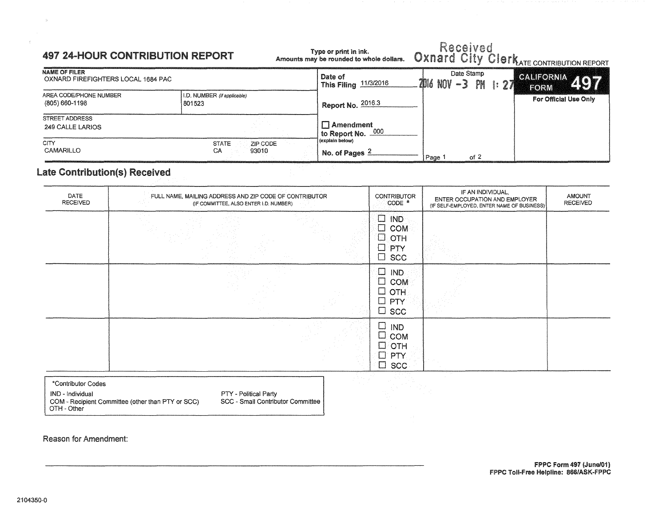#### 497 24-HOUR CONTRIBUTION REPORT

Received<br>Oxnard City Clerk Type or print in ink.<br>Amounts may be rounded to whole dollars.

|                                                            |                                         |                                                    | where we want a state of the control of the control of the control of the control of the control of the control of the control of the control of the control of the control of the control of the control of the control of th |          | $\mathbb{R}^n$ is that contribution report |
|------------------------------------------------------------|-----------------------------------------|----------------------------------------------------|--------------------------------------------------------------------------------------------------------------------------------------------------------------------------------------------------------------------------------|----------|--------------------------------------------|
| <b>NAME OF FILER</b><br>OXNARD FIREFIGHTERS LOCAL 1684 PAC |                                         | Date of<br>11/3/2016<br><b>This Filing</b>         | Date Stamp<br>$2016$ NOV $-3$                                                                                                                                                                                                  | PM 1: 27 | <b>CALIFORNIA</b> 497<br>FORM              |
| AREA CODE/PHONE NUMBER<br>(805) 660-1198                   | I.D. NUMBER (if applicable)<br>801523   | Report No. 2016.3                                  |                                                                                                                                                                                                                                |          | For Official Use Only                      |
| <b>STREET ADDRESS</b><br>249 CALLE LARIOS                  |                                         | $\Box$ Amendment<br><sup>1</sup> to Report No. 000 |                                                                                                                                                                                                                                |          |                                            |
| <b>CITY</b><br>CAMARILLO                                   | <b>STATE</b><br>ZIP CODE<br>CA<br>93010 | (explain below)<br>No. of Pages                    | of $2$<br>Page <sup>1</sup>                                                                                                                                                                                                    |          |                                            |

### late Contribution(s) Received

| DATE<br><b>RECEIVED</b> | FULL NAME, MAILING ADDRESS AND ZIP CODE OF CONTRIBUTOR<br>(IF COMMITTEE, ALSO ENTER I.D. NUMBER) | <b>CONTRIBUTOR</b><br>CODE *                                                      | IF AN INDIVIDUAL,<br>ENTER OCCUPATION AND EMPLOYER<br>(IF SELF-EMPLOYED, ENTER NAME OF BUSINESS) | <b>AMOUNT</b><br><b>RECEIVED</b> |
|-------------------------|--------------------------------------------------------------------------------------------------|-----------------------------------------------------------------------------------|--------------------------------------------------------------------------------------------------|----------------------------------|
|                         |                                                                                                  | $\Box$ IND<br>$\square$ com<br>$\Box$ OTH<br>$\Box$ PTY<br>$\Box$ scc             |                                                                                                  |                                  |
|                         |                                                                                                  | $\square$ IND.<br>$\square$ com<br>$\square$ OTH<br>$\Box$ PTY<br>$\Box$ scc      |                                                                                                  |                                  |
|                         |                                                                                                  | $\Box$<br>IND<br>Ш<br><b>COM</b><br>$\Box$ OTH<br>PTY<br>$\Box$<br>$\square$ scc. |                                                                                                  |                                  |

\*Contributor Codes IND - Individual COM - Recipient Committee (other than PTY or SCC} OTH- Other

PTY - Political Party

SCC - Small Contributor Committee

Reason for Amendment: